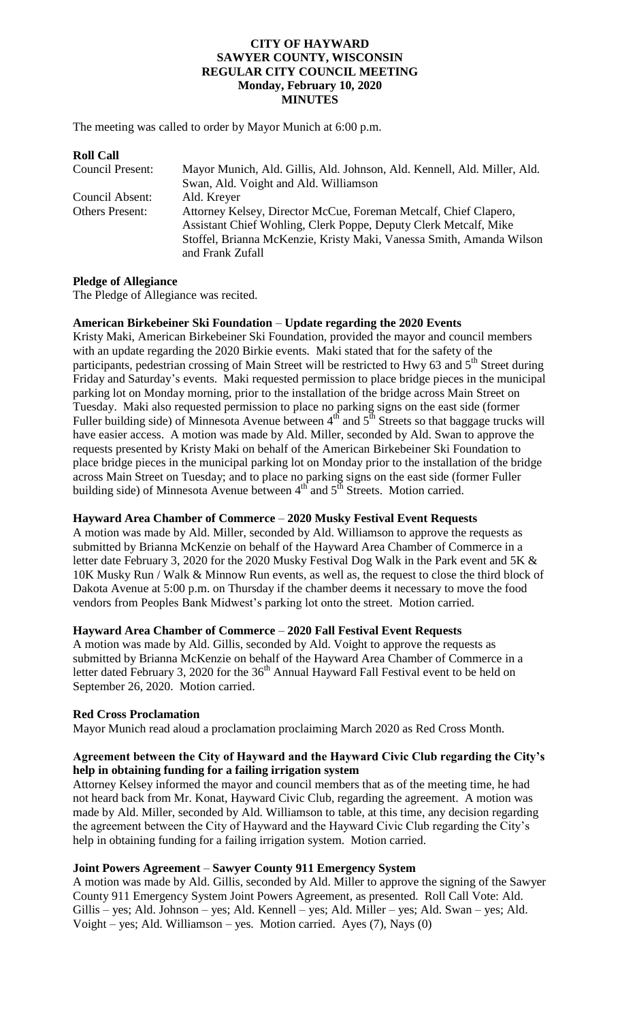### **CITY OF HAYWARD SAWYER COUNTY, WISCONSIN REGULAR CITY COUNCIL MEETING Monday, February 10, 2020 MINUTES**

The meeting was called to order by Mayor Munich at 6:00 p.m.

| <b>Council Present:</b> | Mayor Munich, Ald. Gillis, Ald. Johnson, Ald. Kennell, Ald. Miller, Ald. |
|-------------------------|--------------------------------------------------------------------------|
|                         | Swan, Ald. Voight and Ald. Williamson                                    |
| Council Absent:         | Ald. Kreyer                                                              |
| <b>Others Present:</b>  | Attorney Kelsey, Director McCue, Foreman Metcalf, Chief Clapero,         |
|                         | Assistant Chief Wohling, Clerk Poppe, Deputy Clerk Metcalf, Mike         |
|                         | Stoffel, Brianna McKenzie, Kristy Maki, Vanessa Smith, Amanda Wilson     |
|                         | and Frank Zufall                                                         |

### **Pledge of Allegiance**

The Pledge of Allegiance was recited.

### **American Birkebeiner Ski Foundation** – **Update regarding the 2020 Events**

Kristy Maki, American Birkebeiner Ski Foundation, provided the mayor and council members with an update regarding the 2020 Birkie events. Maki stated that for the safety of the participants, pedestrian crossing of Main Street will be restricted to Hwy 63 and 5<sup>th</sup> Street during Friday and Saturday's events. Maki requested permission to place bridge pieces in the municipal parking lot on Monday morning, prior to the installation of the bridge across Main Street on Tuesday. Maki also requested permission to place no parking signs on the east side (former Fuller building side) of Minnesota Avenue between  $4<sup>th</sup>$  and  $5<sup>th</sup>$  Streets so that baggage trucks will have easier access. A motion was made by Ald. Miller, seconded by Ald. Swan to approve the requests presented by Kristy Maki on behalf of the American Birkebeiner Ski Foundation to place bridge pieces in the municipal parking lot on Monday prior to the installation of the bridge across Main Street on Tuesday; and to place no parking signs on the east side (former Fuller building side) of Minnesota Avenue between  $4<sup>th</sup>$  and  $5<sup>th</sup>$  Streets. Motion carried.

### **Hayward Area Chamber of Commerce** – **2020 Musky Festival Event Requests**

A motion was made by Ald. Miller, seconded by Ald. Williamson to approve the requests as submitted by Brianna McKenzie on behalf of the Hayward Area Chamber of Commerce in a letter date February 3, 2020 for the 2020 Musky Festival Dog Walk in the Park event and 5K & 10K Musky Run / Walk & Minnow Run events, as well as, the request to close the third block of Dakota Avenue at 5:00 p.m. on Thursday if the chamber deems it necessary to move the food vendors from Peoples Bank Midwest's parking lot onto the street. Motion carried.

## **Hayward Area Chamber of Commerce** – **2020 Fall Festival Event Requests**

A motion was made by Ald. Gillis, seconded by Ald. Voight to approve the requests as submitted by Brianna McKenzie on behalf of the Hayward Area Chamber of Commerce in a letter dated February 3, 2020 for the 36<sup>th</sup> Annual Hayward Fall Festival event to be held on September 26, 2020. Motion carried.

#### **Red Cross Proclamation**

Mayor Munich read aloud a proclamation proclaiming March 2020 as Red Cross Month.

### **Agreement between the City of Hayward and the Hayward Civic Club regarding the City's help in obtaining funding for a failing irrigation system**

Attorney Kelsey informed the mayor and council members that as of the meeting time, he had not heard back from Mr. Konat, Hayward Civic Club, regarding the agreement. A motion was made by Ald. Miller, seconded by Ald. Williamson to table, at this time, any decision regarding the agreement between the City of Hayward and the Hayward Civic Club regarding the City's help in obtaining funding for a failing irrigation system. Motion carried.

#### **Joint Powers Agreement** – **Sawyer County 911 Emergency System**

A motion was made by Ald. Gillis, seconded by Ald. Miller to approve the signing of the Sawyer County 911 Emergency System Joint Powers Agreement, as presented. Roll Call Vote: Ald. Gillis – yes; Ald. Johnson – yes; Ald. Kennell – yes; Ald. Miller – yes; Ald. Swan – yes; Ald. Voight – yes; Ald. Williamson – yes. Motion carried. Ayes (7), Nays (0)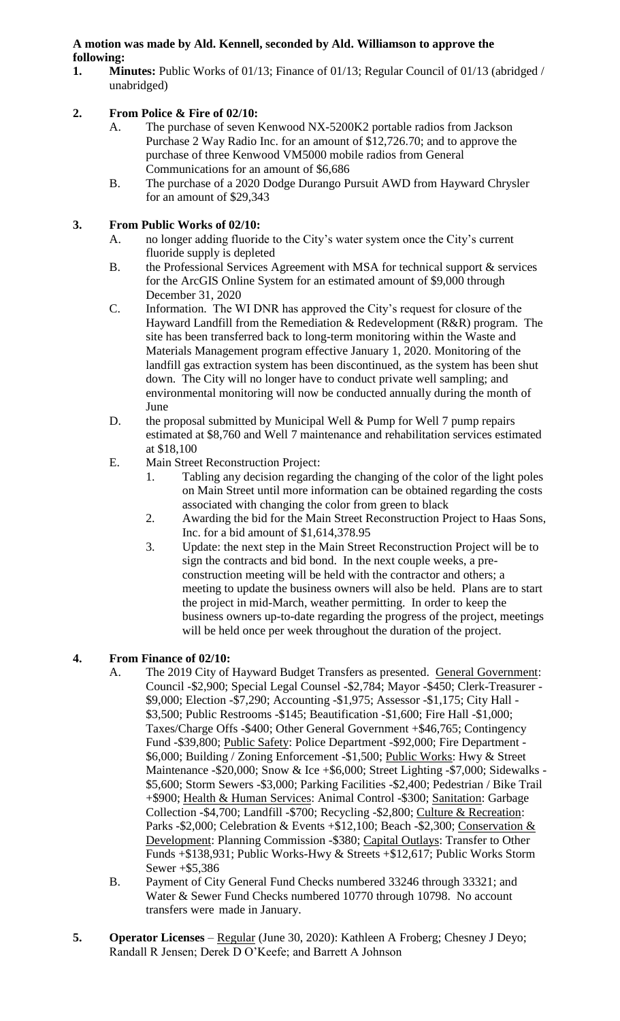# **A motion was made by Ald. Kennell, seconded by Ald. Williamson to approve the following:**

- **1. Minutes:** Public Works of 01/13; Finance of 01/13; Regular Council of 01/13 (abridged / unabridged)
- **2. From Police & Fire of 02/10:**
	- A. The purchase of seven Kenwood NX-5200K2 portable radios from Jackson Purchase 2 Way Radio Inc. for an amount of \$12,726.70; and to approve the purchase of three Kenwood VM5000 mobile radios from General Communications for an amount of \$6,686
	- B. The purchase of a 2020 Dodge Durango Pursuit AWD from Hayward Chrysler for an amount of \$29,343

# **3. From Public Works of 02/10:**

- A. no longer adding fluoride to the City's water system once the City's current fluoride supply is depleted
- B. the Professional Services Agreement with MSA for technical support & services for the ArcGIS Online System for an estimated amount of \$9,000 through December 31, 2020
- C. Information. The WI DNR has approved the City's request for closure of the Hayward Landfill from the Remediation & Redevelopment (R&R) program. The site has been transferred back to long-term monitoring within the Waste and Materials Management program effective January 1, 2020. Monitoring of the landfill gas extraction system has been discontinued, as the system has been shut down. The City will no longer have to conduct private well sampling; and environmental monitoring will now be conducted annually during the month of June
- D. the proposal submitted by Municipal Well & Pump for Well 7 pump repairs estimated at \$8,760 and Well 7 maintenance and rehabilitation services estimated at \$18,100
- E. Main Street Reconstruction Project:
	- 1. Tabling any decision regarding the changing of the color of the light poles on Main Street until more information can be obtained regarding the costs associated with changing the color from green to black
	- 2. Awarding the bid for the Main Street Reconstruction Project to Haas Sons, Inc. for a bid amount of \$1,614,378.95
	- 3. Update: the next step in the Main Street Reconstruction Project will be to sign the contracts and bid bond. In the next couple weeks, a preconstruction meeting will be held with the contractor and others; a meeting to update the business owners will also be held. Plans are to start the project in mid-March, weather permitting. In order to keep the business owners up-to-date regarding the progress of the project, meetings will be held once per week throughout the duration of the project.

# **4. From Finance of 02/10:**

- A. The 2019 City of Hayward Budget Transfers as presented. General Government: Council -\$2,900; Special Legal Counsel -\$2,784; Mayor -\$450; Clerk-Treasurer - \$9,000; Election -\$7,290; Accounting -\$1,975; Assessor -\$1,175; City Hall - \$3,500; Public Restrooms -\$145; Beautification -\$1,600; Fire Hall -\$1,000; Taxes/Charge Offs -\$400; Other General Government +\$46,765; Contingency Fund -\$39,800; Public Safety: Police Department -\$92,000; Fire Department - \$6,000; Building / Zoning Enforcement -\$1,500; Public Works: Hwy & Street Maintenance -\$20,000; Snow & Ice +\$6,000; Street Lighting -\$7,000; Sidewalks - \$5,600; Storm Sewers -\$3,000; Parking Facilities -\$2,400; Pedestrian / Bike Trail +\$900; Health & Human Services: Animal Control -\$300; Sanitation: Garbage Collection -\$4,700; Landfill -\$700; Recycling -\$2,800; Culture & Recreation: Parks -\$2,000; Celebration & Events +\$12,100; Beach -\$2,300; Conservation & Development: Planning Commission -\$380; Capital Outlays: Transfer to Other Funds +\$138,931; Public Works-Hwy & Streets +\$12,617; Public Works Storm Sewer +\$5,386
- B. Payment of City General Fund Checks numbered 33246 through 33321; and Water & Sewer Fund Checks numbered 10770 through 10798. No account transfers were made in January.
- **5.** Operator Licenses <u>Regular</u> (June 30, 2020): Kathleen A Froberg; Chesney J Deyo; Randall R Jensen; Derek D O'Keefe; and Barrett A Johnson